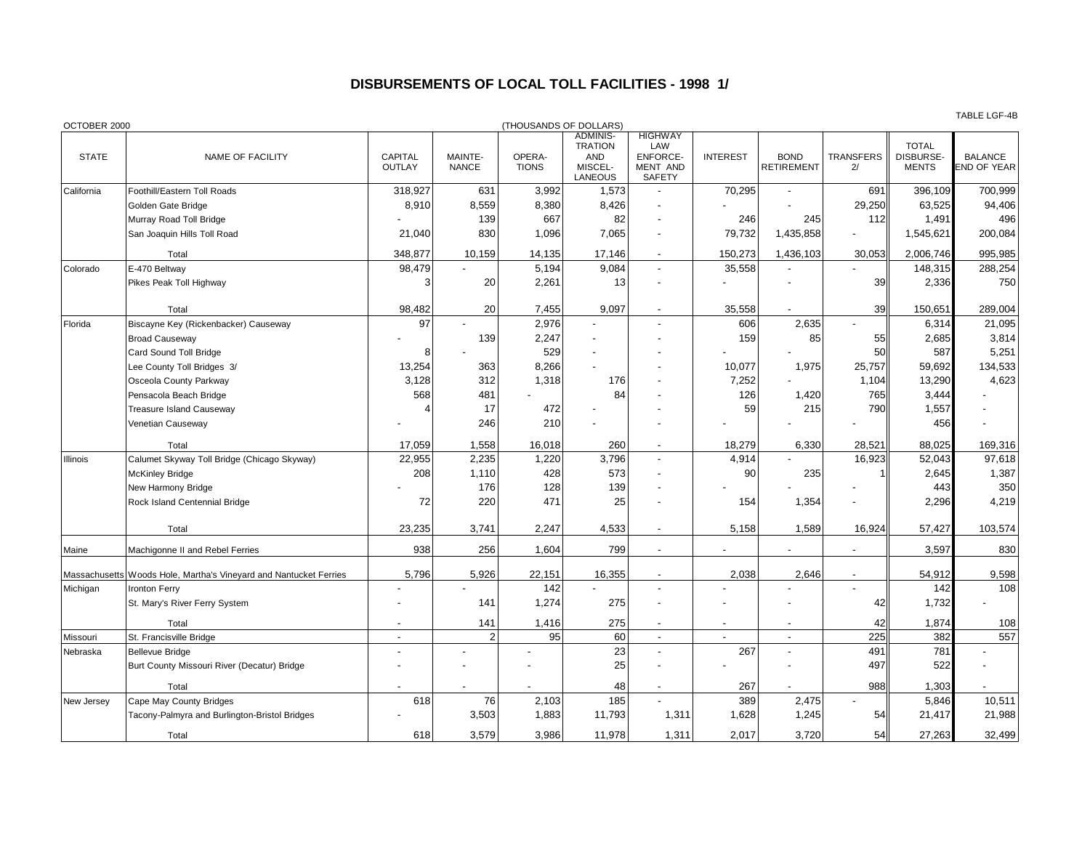## **DISBURSEMENTS OF LOCAL TOLL FACILITIES - 1998 1/**

| OCTOBER 2000 |                                                                   |                          |                         | (THOUSANDS OF DOLLARS) |                                                                       |                                                         |                 |                                  |                        |                                           |                                      |
|--------------|-------------------------------------------------------------------|--------------------------|-------------------------|------------------------|-----------------------------------------------------------------------|---------------------------------------------------------|-----------------|----------------------------------|------------------------|-------------------------------------------|--------------------------------------|
| <b>STATE</b> | NAME OF FACILITY                                                  | CAPITAL<br><b>OUTLAY</b> | MAINTE-<br><b>NANCE</b> | OPERA-<br><b>TIONS</b> | <b>ADMINIS-</b><br><b>TRATION</b><br><b>AND</b><br>MISCEL-<br>LANEOUS | <b>HIGHWAY</b><br>LAW<br>ENFORCE-<br>MENT AND<br>SAFETY | <b>INTEREST</b> | <b>BOND</b><br><b>RETIREMENT</b> | <b>TRANSFERS</b><br>2/ | <b>TOTAL</b><br>DISBURSE-<br><b>MENTS</b> | <b>BALANCE</b><br><b>END OF YEAR</b> |
| California   | Foothill/Eastern Toll Roads                                       | 318,927                  | 631                     | 3,992                  | 1,573                                                                 |                                                         | 70,295          |                                  | 691                    | 396,109                                   | 700,999                              |
|              | Golden Gate Bridge                                                | 8,910                    | 8,559                   | 8,380                  | 8,426                                                                 |                                                         |                 |                                  | 29,250                 | 63,525                                    | 94,406                               |
|              | Murray Road Toll Bridge                                           |                          | 139                     | 667                    | 82                                                                    |                                                         | 246             | 245                              | 112                    | 1,491                                     | 496                                  |
|              | San Joaquin Hills Toll Road                                       | 21,040                   | 830                     | 1,096                  | 7,065                                                                 |                                                         | 79,732          | 1,435,858                        | $\blacksquare$         | 1,545,621                                 | 200,084                              |
|              | Total                                                             | 348,877                  | 10,159                  | 14,135                 | 17,146                                                                | $\overline{\phantom{a}}$                                | 150,273         | 1,436,103                        | 30,053                 | 2,006,746                                 | 995,985                              |
| Colorado     | E-470 Beltway                                                     | 98,479                   |                         | 5,194                  | 9,084                                                                 | $\overline{a}$                                          | 35,558          |                                  |                        | 148,315                                   | 288,254                              |
|              | Pikes Peak Toll Highway                                           | 3                        | 20                      | 2,261                  | 13                                                                    |                                                         |                 |                                  | 39                     | 2,336                                     | 750                                  |
|              | Total                                                             | 98,482                   | 20                      | 7,455                  | 9,097                                                                 |                                                         | 35,558          |                                  | 39                     | 150,651                                   | 289,004                              |
| Florida      | Biscayne Key (Rickenbacker) Causeway                              | 97                       |                         | 2,976                  |                                                                       |                                                         | 606             | 2,635                            |                        | 6,314                                     | 21,095                               |
|              | <b>Broad Causeway</b>                                             |                          | 139                     | 2,247                  |                                                                       |                                                         | 159             | 85                               | 55                     | 2,685                                     | 3,814                                |
|              | Card Sound Toll Bridge                                            | 8                        |                         | 529                    |                                                                       |                                                         |                 |                                  | 50                     | 587                                       | 5,251                                |
|              | Lee County Toll Bridges 3/                                        | 13,254                   | 363                     | 8,266                  |                                                                       |                                                         | 10,077          | 1,975                            | 25,757                 | 59,692                                    | 134,533                              |
|              | Osceola County Parkway                                            | 3,128                    | 312                     | 1,318                  | 176                                                                   |                                                         | 7,252           |                                  | 1,104                  | 13,290                                    | 4,623                                |
|              | Pensacola Beach Bridge                                            | 568                      | 481                     |                        | 84                                                                    |                                                         | 126             | 1,420                            | 765                    | 3,444                                     |                                      |
|              | <b>Treasure Island Causeway</b>                                   |                          | 17                      | 472                    |                                                                       |                                                         | 59              | 215                              | 790                    | 1,557                                     |                                      |
|              | Venetian Causeway                                                 |                          | 246                     | 210                    |                                                                       |                                                         |                 |                                  |                        | 456                                       |                                      |
|              | Total                                                             | 17,059                   | 1,558                   | 16,018                 | 260                                                                   |                                                         | 18,279          | 6,330                            | 28,521                 | 88,025                                    | 169,316                              |
| Illinois     | Calumet Skyway Toll Bridge (Chicago Skyway)                       | 22,955                   | 2,235                   | 1,220                  | 3,796                                                                 |                                                         | 4,914           |                                  | 16,923                 | 52,043                                    | 97,618                               |
|              | <b>McKinley Bridge</b>                                            | 208                      | 1,110                   | 428                    | 573                                                                   |                                                         | 90              | 235                              |                        | 2,645                                     | 1,387                                |
|              | New Harmony Bridge                                                |                          | 176                     | 128                    | 139                                                                   |                                                         |                 |                                  |                        | 443                                       | 350                                  |
|              | Rock Island Centennial Bridge                                     | 72                       | 220                     | 471                    | 25                                                                    |                                                         | 154             | 1,354                            |                        | 2,296                                     | 4,219                                |
|              | Total                                                             | 23,235                   | 3,741                   | 2,247                  | 4,533                                                                 |                                                         | 5,158           | 1,589                            | 16,924                 | 57,427                                    | 103,574                              |
| Maine        | Machigonne II and Rebel Ferries                                   | 938                      | 256                     | 1,604                  | 799                                                                   |                                                         |                 |                                  |                        | 3,597                                     | 830                                  |
|              | Massachusetts Woods Hole, Martha's Vineyard and Nantucket Ferries | 5,796                    | 5,926                   | 22,151                 | 16,355                                                                | $\overline{\phantom{a}}$                                | 2,038           | 2,646                            | $\blacksquare$         | 54,912                                    | 9,598                                |
| Michigan     | <b>Ironton Ferry</b>                                              |                          |                         | 142                    |                                                                       | $\overline{a}$                                          |                 |                                  |                        | 142                                       | 108                                  |
|              | St. Mary's River Ferry System                                     |                          | 141                     | 1,274                  | 275                                                                   |                                                         |                 |                                  | 42                     | 1,732                                     |                                      |
|              | Total                                                             |                          | 141                     | 1,416                  | 275                                                                   | $\overline{a}$                                          |                 | $\overline{\phantom{a}}$         | 42                     | 1,874                                     | 108                                  |
| Missouri     | St. Francisville Bridge                                           |                          | 2                       | 95                     | 60                                                                    | $\overline{\phantom{a}}$                                |                 | $\overline{\phantom{a}}$         | 225                    | 382                                       | 557                                  |
| Nebraska     | <b>Bellevue Bridge</b>                                            |                          |                         |                        | 23                                                                    | $\overline{a}$                                          | 267             |                                  | 491                    | 781                                       |                                      |
|              | Burt County Missouri River (Decatur) Bridge                       |                          |                         |                        | 25                                                                    |                                                         |                 |                                  | 497                    | 522                                       |                                      |
|              | Total                                                             |                          |                         |                        | 48                                                                    |                                                         | 267             |                                  | 988                    | 1,303                                     |                                      |
| New Jersey   | Cape May County Bridges                                           | 618                      | 76                      | 2,103                  | 185                                                                   |                                                         | 389             | 2,475                            |                        | 5,846                                     | 10,511                               |
|              | Tacony-Palmyra and Burlington-Bristol Bridges                     |                          | 3,503                   | 1,883                  | 11,793                                                                | 1,311                                                   | 1,628           | 1,245                            | 54                     | 21,417                                    | 21,988                               |
|              | Total                                                             | 618                      | 3.579                   | 3.986                  | 11,978                                                                | 1,311                                                   | 2.017           | 3.720                            | 54                     | 27.263                                    | 32.499                               |

TABLE LGF-4B